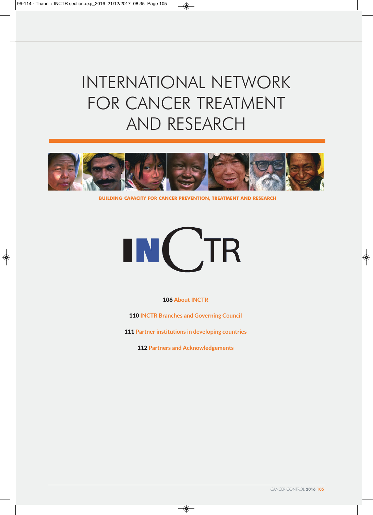$\bigcirc$ 

# INTERNATIONAL NETWORK FOR CANCER TREATMENT AND RESEARCH

 $\bigcirc$ 



**BUILDING CAPACITY FOR CANCER PREVENTION, TREATMENT AND RESEARCH**



106 **About INCTR**

110 **INCTR Branches and Governing Council**

111 **Partner institutions in developing countries**

112 **Partners and Acknowledgements**

◈

 $\color{red}\blacklozenge$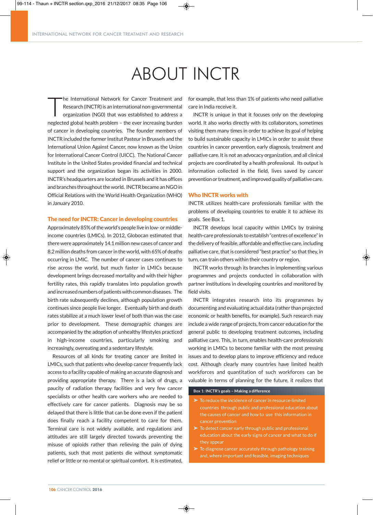INTERNATIONAL NETWORK FOR CANCER TREATMENT AND RESEARCH

# ABOUT INCTR

T he International Network for Cancer Treatment and Research (INCTR) is an international non-governmental organization (NG0) that was established to address a neglected global health problem – the ever increasing burden of cancer in developing countries. The founder members of INCTR included the former Institut Pasteur in Brussels and the International Union Against Cancer, now known as the Union for International Cancer Control (UICC). The National Cancer Institute in the United States provided financial and technical support and the organization began its activities in 2000. INCTR's headquarters are located in Brussels and it has offices and branches throughout the world. INCTR became an NGO in Official Relations with the World Health Organization (WHO) in January 2010.

#### The need for INCTR: Cancer in developing countries

Approximately 85% of the world's people live in low- or middleincome countries (LMICs). In 2012, Globocan estimated that there were approximately 14.1 million new cases of cancer and 8.2 million deaths from cancer in the world, with 65%of deaths occurring in LMIC. The number of cancer cases continues to rise across the world, but much faster in LMICs because development brings decreased mortality and with their higher fertility rates, this rapidly translates into population growth and increased numbers of patients with common diseases. The birth rate subsequently declines, although population growth continues since people live longer. Eventually birth and death rates stabilize at a much lower level of both than was the case prior to development. These demographic changes are accompanied by the adoption of unhealthy lifestyles practiced in high-income countries, particularly smoking and increasingly, overeating and a sedentary lifestyle.

Resources of all kinds for treating cancer are limited in LMICs, such that patients who develop cancer frequently lack access to a facility capable of making an accurate diagnosis and providing appropriate therapy. There is a lack of drugs, a paucity of radiation therapy facilities and very few cancer specialists or other health care workers who are needed to effectively care for cancer patients. Diagnosis may be so delayed that there is little that can be done even if the patient does finally reach a facility competent to care for them. Terminal care is not widely available, and regulations and attitudes are still largely directed towards preventing the misuse of opioids rather than relieving the pain of dying patients, such that most patients die without symptomatic relief or little or no mental or spiritual comfort. It is estimated,

for example, that less than 1% of patients who need palliative care in India receive it.

INCTR is unique in that it focuses only on the developing world. It also works directly with its collaborators, sometimes visiting them many times in order to achieve its goal of helping to build sustainable capacity in LMICs in order to assist these countries in cancer prevention, early diagnosis, treatment and palliative care. It is not an advocacy organization, and all clinical projects are coordinated by a health professional. Its output is information collected in the field, lives saved by cancer prevention or treatment, and improved quality of palliative care.

#### Who INCTR works with

INCTR utilizes health-care professionals familiar with the problems of developing countries to enable it to achieve its goals. See Box 1.

INCTR develops local capacity within LMICs by training health-care professionals to establish "centres of excellence"in the delivery of feasible, affordable and effective care, including palliative care, that is considered "best practice" so that they, in turn, can train others within their country or region.

INCTR works through its branches in implementing various programmes and projects conducted in collaboration with partner institutions in developing countries and monitored by field visits.

INCTR integrates research into its programmes by documenting and evaluating actual data (rather than projected economic or health benefits, for example). Such research may include a wide range of projects, from cancer education for the general public to developing treatment outcomes, including palliative care. This, in turn, enables health-care professionals working in LMICs to become familiar with the most pressing issues and to develop plans to improve efficiency and reduce cost. Although clearly many countries have limited health workforces and quantitation of such workforces can be valuable in terms of planning for the future, it realizes that

#### **Box 1: INCTR's goals – Making a difference**

◈

- To reduce the incidence of cancer in resource-limited countries through public and professional education about the causes of cancer and how to use this information in cancer prevention
- To detect cancer early through public and professional ducation about the early signs of cancer and what to do if they appear
- To diagnose cancer accurately through pathology training and, where important and feasible, imaging techniques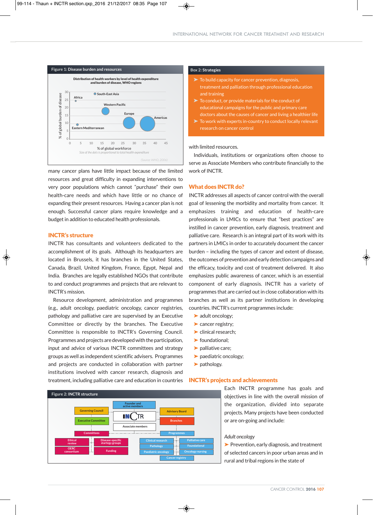#### INTERNATIONAL NETWORK FOR CANCER TREATMENT AND RESEARCH



many cancer plans have little impact because of the limited resources and great difficulty in expanding interventions to very poor populations which cannot "purchase" their own health-care needs and which have little or no chance of expanding their present resources. Having a cancer plan is not enough. Successful cancer plans require knowledge and a budget in addition to educated health professionals.

#### INCTR's structure

 $\Delta$ 

INCTR has consultants and volunteers dedicated to the accomplishment of its goals. Although its headquarters are located in Brussels, it has branches in the United States, Canada, Brazil, United Kingdom, France, Egypt, Nepal and India. Branches are legally established NGOs that contribute to and conduct programmes and projects that are relevant to INCTR's mission.

Resource development, administration and programmes (e.g., adult oncology, paediatric oncology, cancer registries, pathology and palliative care are supervised by an Executive Committee or directly by the branches. The Executive Committee is responsible to INCTR's Governing Council. Programmes and projects are developed with the participation, input and advice of various INCTR committees and strategy groups as well as independent scientific advisers. Programmes and projects are conducted in collaboration with partner institutions involved with cancer research, diagnosis and treatment, including palliative care and education in countries



#### **Box 2: Strategies**

◈

- $\blacktriangleright$  To build capacity for cancer prevention, diagnosis, treatment and palliation through professional education and training
- To conduct, or provide materials for the conduct of educational campaigns for the public and primary care doctors about the causes of cancer and living a healthier life
- To work with experts in-country to conduct locally relevant research on cancer control

with limited resources.

Individuals, institutions or organizations often choose to serve as Associate Members who contribute financially to the work of INCTR.

#### What does INCTR do?

INCTR addresses all aspects of cancer control with the overall goal of lessening the morbidity and mortality from cancer. It emphasizes training and education of health-care professionals in LMICs to ensure that "best practices" are instilled in cancer prevention, early diagnosis, treatment and palliative care. Research is an integral part of its work with its partners in LMICs in order to accurately document the cancer burden – including the types of cancer and extent of disease, the outcomes of prevention and early detection campaigns and the efficacy, toxicity and cost of treatment delivered. It also emphasizes public awareness of cancer, which is an essential component of early diagnosis. INCTR has a variety of programmes that are carried out in close collaboration with its branches as well as its partner institutions in developing countries. INCTR's current programmes include:

- ▶ adult oncology;
- Cancer registry;
- ‰ clinical research;
- $\blacktriangleright$  foundational;
- $\blacktriangleright$  palliative care;
- ‰ paediatric oncology;
- $\blacktriangleright$  pathology.

◈

#### INCTR's projects and achievements

Each INCTR programme has goals and objectives in line with the overall mission of the organization, divided into separate  **7.4 million** projects. Many projects have been conducted or are on-going and include:

#### *Adult oncology*

 $\blacktriangleright$  Prevention, early diagnosis, and treatment of selected cancers in poor urban areas and in rural and tribal regions in the state of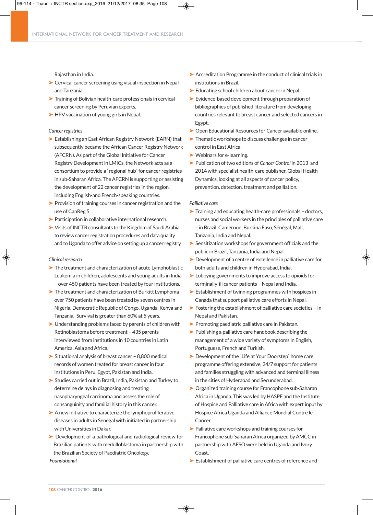

Rajasthan in India.

- ► Cervical cancer screening using visual inspection in Nepal and Tanzania.
- ▶ Training of Bolivian health-care professionals in cervical cancer screening by Peruvian experts.
- ► HPV vaccination of young girls in Nepal.

#### *Cancer registries*

- $\blacktriangleright$  Establishing an East African Registry Network (EARN) that subsequently became the African Cancer Registry Network (AFCRN). As part of the Global Initiative for Cancer Registry Development in LMICs, the Network acts as a consortium to provide a "regional hub" for cancer registries in sub-Saharan Africa. The AFCRN is supporting or assisting the development of 22 cancer registries in the region, including English-and French-speaking countries.
- $\blacktriangleright$  Provision of training courses in cancer registration and the use of CanReg 5.
- ‰ Participation in collaborative international research.
- ▶ Visits of INCTR consultants to the Kingdom of Saudi Arabia to review cancer registration procedures and data quality and to Uganda to offer advice on setting up a cancer registry.

#### *Clinical research*

- ▶ The treatment and characterization of acute Lymphoblastic Leukemia in children, adolescents and young adults in India – over 450 patients have been treated by four institutions.
- ► The treatment and characterization of Burkitt Lymphoma over 750 patients have been treated by seven centres in Nigeria, Democratic Republic of Congo, Uganda, Kenya and Tanzania. Survival is greater than 60% at 5 years.
- ▶ Understanding problems faced by parents of children with Retinoblastoma before treatment – 435 parents interviewed from institutions in 10 countries in Latin America, Asia and Africa.
- ► Situational analysis of breast cancer 8,800 medical records of women treated for breast cancer in four institutions in Peru, Egypt, Pakistan and India.
- ► Studies carried out in Brazil, India, Pakistan and Turkey to determine delays in diagnosing and treating nasopharyngeal carcinoma and assess the role of consanguinity and familial history in this cancer.
- $\blacktriangleright$  A new initiative to characterize the lymphoproliferative diseases in adults in Senegal with initiated in partnership with Universities in Dakar.
- ▶ Development of a pathological and radiological review for Brazilian patients with medulloblastoma in partnership with the Brazilian Society of Paediatric Oncology.

 $\triangleright$  Accreditation Programme in the conduct of clinical trials in institutions in Brazil.

- ► Educating school children about cancer in Nepal.
- $\blacktriangleright$  Evidence-based development through preparation of bibliographies of published literature from developing countries relevant to breast cancer and selected cancers in Egypt.
- ▶ Open Educational Resources for Cancer available online.
- $\blacktriangleright$  Thematic workshops to discuss challenges in cancer control in East Africa.
- ‰ Webinars for e-learning.
- ► Publication of two editions of *Cancer Control* in 2013 and 2014 with specialist health-care publisher, Global Health Dynamics, looking at all aspects of cancer policy, prevention, detection, treatment and palliation.

#### *Palliative care*

- ► Training and educating health-care professionals doctors, nurses and social workers in the principles of palliative care – in Brazil, Cameroon, Burkina Faso, Sénégal, Mali, Tanzania, India and Nepal.
- ► Sensitization workshops for government officials and the public in Brazil, Tanzania, India and Nepal.
- ► Development of a centre of excellence in palliative care for both adults and children in Hyderabad, India.
- ‰ Lobbying governments to improve access to opioids for terminally-ill cancer patients – Nepal and India.
- $\blacktriangleright$  Establishment of twinning programmes with hospices in Canada that support palliative care efforts in Nepal.
- ► Fostering the establishment of palliative care societies in Nepal and Pakistan.
- ▶ Promoting paediatric palliative care in Pakistan.
- ‰ Publishing a palliative care handbook describing the management of a wide variety of symptoms in English, Portuguese, French and Turkish.
- ▶ Development of the "Life at Your Doorstep" home care programme offering extensive, 24/7 support for patients and families struggling with advanced and terminal illness in the cities of Hyderabad and Secunderabad.
- ▶ Organized training course for Francophone sub-Saharan Africa in Uganda. This was led by HASPF and the Institute of Hospice and Palliative care in Africa with expert input by Hospice Africa Uganda and Alliance Mondial Contre le Cancer.
- ▶ Palliative care workshops and training courses for Francophone sub-Saharan Africa organized by AMCC in partnership with AFSO were held in Uganda and Ivory Coast.
- ‰ Establishment of palliative care centres of reference and

◈

*Foundational*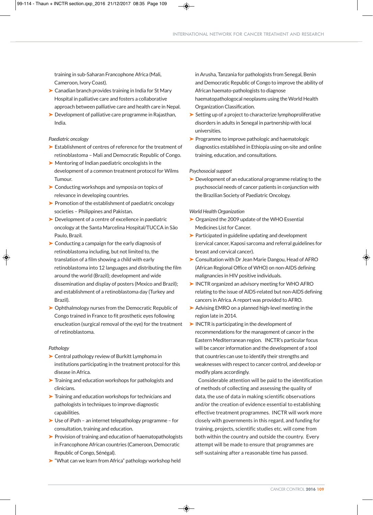training in sub-Saharan Francophone Africa (Mali, Cameroon, Ivory Coast).

- ► Canadian branch provides training in India for St Mary Hospital in palliative care and fosters a collaborative approach between palliative care and health care in Nepal.
- ► Development of palliative care programme in Rajasthan, India.

#### *Paediatric oncology*

- ‰ Establishment of centres of reference for the treatment of retinoblastoma – Mali and Democratic Republic of Congo.
- $\blacktriangleright$  Mentoring of Indian paediatric oncologists in the development of a common treatment protocol for Wilms Tumour.
- ▶ Conducting workshops and symposia on topics of relevance in developing countries.
- ▶ Promotion of the establishment of paediatric oncology societies – Philippines and Pakistan.
- $\blacktriangleright$  Development of a centre of excellence in paediatric oncology at the Santa Marcelina Hospital/TUCCA in São Paulo, Brazil.
- $\triangleright$  Conducting a campaign for the early diagnosis of retinoblastoma including, but not limited to, the translation of a film showing a child with early retinoblastoma into 12 languages and distributing the film around the world (Brazil); development and wide dissemination and display of posters (Mexico and Brazil); and establishment of a retinoblastoma day (Turkey and Brazil).
- ▶ Ophthalmology nurses from the Democratic Republic of Congo trained in France to fit prosthetic eyes following enucleation (surgical removal of the eye) for the treatment of retinoblastoma.

#### *Pathology*

- ▶ Central pathology review of Burkitt Lymphoma in institutions participating in the treatment protocol for this disease in Africa.
- ▶ Training and education workshops for pathologists and clinicians.
- ▶ Training and education workshops for technicians and pathologists in techniques to improve diagnostic capabilities.
- $\triangleright$  Use of iPath an internet telepathology programme for consultation, training and education.
- $\blacktriangleright$  Provision of training and education of haematopathologists in Francophone African countries (Cameroon, Democratic Republic of Congo, Sénégal).
- ► "What can we learn from Africa" pathology workshop held

◈

in Arusha, Tanzania for pathologists from Senegal, Benin and Democratic Republic of Congo to improve the ability of African haemato-pathologists to diagnose

haematopathologocal neoplasms using the World Health Organization Classification.

- $\blacktriangleright$  Setting up of a project to characterize lymphoproliferative disorders in adults in Senegal in partnership with local universities.
- $\blacktriangleright$  Programme to improve pathologic and haematologic diagnostics established in Ethiopia using on-site and online training, education, and consultations.

#### **Psychosocial support**

▶ Development of an educational programme relating to the psychosocial needs of cancer patients in conjunction with the Brazilian Society of Paediatric Oncology.

#### *World Health Organization*

- $\triangleright$  Organized the 2009 update of the WHO Essential Medicines List for Cancer.
- $\blacktriangleright$  Participated in guideline updating and development (cervical cancer, Kaposi sarcoma and referral guidelines for breast and cervical cancer).
- ▶ Consultation with Dr Jean Marie Dangou, Head of AFRO (African Regional Office of WHO) on non-AIDS defining malignancies in HIV positive individuals.
- ► INCTR organized an advisory meeting for WHO AFRO relating to the issue of AIDS-related but non-AIDS defining cancers in Africa. A report was provided to AFRO.
- ► Advising EMRO on a planned high-level meeting in the region late in 2014.
- $\blacktriangleright$  INCTR is participating in the development of recommendations for the management of cancer in the Eastern Mediterranean region. INCTR's particular focus will be cancer information and the development of a tool that countries can use to identify their strengths and weaknesses with respect to cancer control, and develop or modify plans accordingly.

Considerable attention will be paid to the identification of methods of collecting and assessing the quality of data, the use of data in making scientific observations and/or the creation of evidence essential to establishing effective treatment programmes. INCTR will work more closely with governments in this regard, and funding for training, projects, scientific studies etc. will come from both within the country and outside the country. Every attempt will be made to ensure that programmes are self-sustaining after a reasonable time has passed.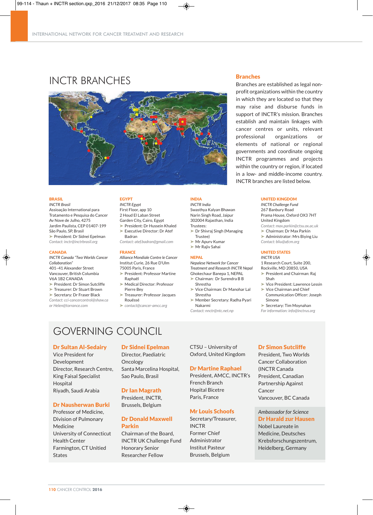

## INCTR BRANCHES Branches



#### BRASIL

*INCTR Brasil* Assioação International para Tratamento e Pesquisa do Cancer Av Nove de Julho, 4275 Jardim Paulista, CEP 01407-199 São Paulo, SP, Brasil ‰ President: Dr Sidnei Epelman *Contact: inctr@inctrbrasil.org*

#### **CANADA**

*INCTR Canada "Two Worlds Cancer Collaboration"* 401–41 Alexander Street Vancouver, British Columbia V6A 1B2 CANADA ‰ President: Dr Simon Sutcliffe ‰ Treasurer: Dr Stuart Brown

‰ Secretary: Dr Fraser Black

*Contact: cci-cancercontrol@shaw.ca or Helen@torrance.com*

EGYPT

*INCTR Egypt* First Floor, app 10 2 Houd El Laban Street Garden City, Cairo, Egypt ‰ President: Dr Hussein Khaled

► Executive Director: Dr Atef Badran *Contact: atef.badran@gmail.com*

#### FRANCE

*Alliance Mondiale Contre le Cancer* Institut Curie, 26 Rue D'Ulm 75005 Paris, France

- ‰ President: Professor Martine Raphaël
- ‰ Medical Director: Professor Pierre Bey
- Treasurer: Professor Jacques Rouëssé
- ‰ *contact@cancer-amcc.org*

#### INDIA *INCTR India*

Swasthya Kalyan Bhawan Narin Singh Road, Jaipur 302004 Rajasthan, India Trustees: ‰ Dr Shivraj Singh (Managing

- Trustee) ► Mr Apurv Kumar
- ► Mr Rajiv Sahai

#### NEPAL

*Nepalese Network for Cancer Treatment and Research INCTR Nepal* Ghokechaur Banepa 1, NEPAL

- ► Chairman: Dr Surendra B B Shrestha
- ‰ Vice Chairman: Dr Manohar Lal
- Shrestha ‰ Member Secretary: Radha Pyari
	- Nakarmi

*Contact: nnctr@ntc.net.np*

### GOVERNING COUNCIL

#### Dr Sultan Al-Sedairy

Vice President for Development Director, Research Centre, King Faisal Specialist Hospital Riyadh, Saudi Arabia

#### Dr Nausherwan Burki

Professor of Medicine, Division of Pulmonary Medicine University of Connecticut Health Center Farmington, CT Unitied States

#### Dr Sidnei Epelman

Director, Paediatric Oncology Santa Marcelina Hospital, Sao Paulo, Brasil

#### Dr Ian Magrath

President, INCTR, Brussels, Belgium

#### Dr Donald Maxwell Parkin

Chairman of the Board, INCTR UK Challenge Fund Honorary Senior Researcher Fellow

CTSU – University of Oxford, United Kingdom

#### Dr Martine Raphael

President, AMCC, INCTR's French Branch Hopital Bicetre Paris, France

#### Mr Louis Schoofs

Secretary/Treasurer, INCTR Former Chief Administrator Institut Pasteur Brussels, Belgium

Branches are established as legal nonprofit organizations within the country in which they are located so that they may raise and disburse funds in support of INCTR's mission. Branches establish and maintain linkages with cancer centres or units, relevant professional organizations or elements of national or regional governments and coordinate ongoing INCTR programmes and projects within the country or region, if located in a low- and middle-income country. INCTR branches are listed below.

#### UNITED KINGDOM

*INCTR Challenge Fund* 267 Banbury Road Prama House, Oxford OX3 7HT United Kingdom *Contact: max.parkin@ctsu.ox.ac.uk* ‰ Chairman: Dr Max Parkin ‰ Administrator: Mrs Biying Liu *Contact: bliu@afcm.org*

#### UNITED STATES

#### *INCTR USA* 1 Research Court, Suite 200,

Rockville, MD 20850, USA ▶ President and Chairman: Raj

► Vice President: Lawrence Lessin

► Vice Chairman and Chief

Simone

*For information: info@inctrus.org*

#### Dr Simon Sutcliffe

President, Two Worlds Cancer Collaboration (INCTR Canada President, Canadian Partnership Against Cancer Vancouver, BC Canada

#### *Ambassador for Science* Dr Harald zur Hausen

Nobel Laureate in Medicine, Deutsches Krebsforschungszentrum, Heidelberg, Germany

Shah

Communication Officer: Joseph

‰ Secretary: Tim Moynahan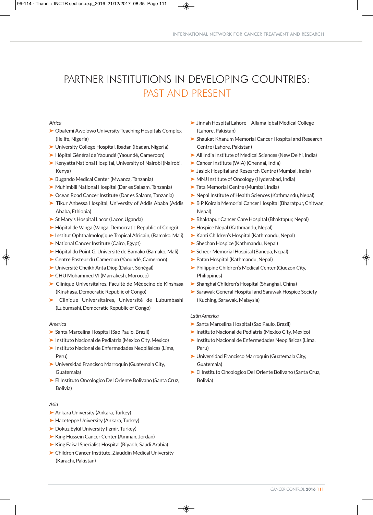## PARTNER INSTITUTIONS IN DEVELOPING COUNTRIES: PAST AND PRESENT

#### *Africa*

- ▶ Obafemi Awolowo University Teaching Hospitals Complex (Ile Ife, Nigeria)
- ▶ University College Hospital, Ibadan (Ibadan, Nigeria)
- ‰ Hôpital Général de Yaoundé (Yaoundé, Cameroon)
- ► Kenyatta National Hospital, University of Nairobi (Nairobi, Kenya)
- ► Bugando Medical Center (Mwanza, Tanzania)
- ‰ Muhimbili National Hospital (Dar es Salaam, Tanzania)
- ▶ Ocean Road Cancer Institute (Dar es Salaam, Tanzania)
- ▶ Tikur Anbessa Hospital, University of Addis Ababa (Addis Ababa, Ethiopia)
- ▶ St Mary's Hospital Lacor (Lacor, Uganda)
- ▶ Hôpital de Vanga (Vanga, Democratic Republic of Congo)
- ▶ Institut Ophthalmologique Tropical Africain, (Bamako, Mali)
- ▶ National Cancer Institute (Cairo, Egypt)
- ‰ Hôpital du Point G, Université de Bamako (Bamako, Mali)
- ‰ Centre Pasteur du Cameroun (Yaoundé, Cameroon)
- ‰ Université Cheikh Anta Diop (Dakar, Sénégal)
- ‰ CHU Mohammed VI (Marrakesh, Morocco)
- ‰ Clinique Universitaires, Faculté de Médecine de Kinshasa (Kinshasa, Democratic Republic of Congo)
- ‰ Clinique Universitaires, Université de Lubumbashi (Lubumashi, Democratic Republic of Congo)

#### *America*

- ‰ Santa Marcelina Hospital (Sao Paulo, Brazil)
- ‰ Instituto Nacional de Pediatria (Mexico City, Mexico)
- ‰ Instituto Nacional de Enfermedades Neoplãsicas (Lima, Peru)
- ‰ Universidad Francisco Marroquin (Guatemala City, Guatemala)
- ► El Instituto Oncologico Del Oriente Bolivano (Santa Cruz, Bolivia)

#### *Asia*

- ▶ Ankara University (Ankara, Turkey)
- ► Haceteppe University (Ankara, Turkey)
- ▶ Dokuz Eylül University (Izmir, Turkey)
- ‰ King Hussein Cancer Center (Amman, Jordan)
- ► King Faisal Specialist Hospital (Riyadh, Saudi Arabia)
- ‰ Children Cancer Institute, Ziauddin Medical University (Karachi, Pakistan)
- ‰ Jinnah Hospital Lahore Allama Iqbal Medical College (Lahore, Pakistan)
- ► Shaukat Khanum Memorial Cancer Hospital and Research Centre (Lahore, Pakistan)
- ‰ All India Institute of Medical Sciences (New Delhi, India)
- ‰ Cancer Institute (WIA) (Chennai, India)
- ‰ Jaslok Hospital and Research Centre (Mumbai, India)
- ▶ MNJ Institute of Oncology (Hyderabad, India)
- ▶ Tata Memorial Centre (Mumbai, India)
- ‰ Nepal Institute of Health Sciences (Kathmandu, Nepal)
- ▶ B P Koirala Memorial Cancer Hospital (Bharatpur, Chitwan, Nepal)
- ‰ Bhaktapur Cancer Care Hospital (Bhaktapur, Nepal)
- ‰ Hospice Nepal (Kathmandu, Nepal)
- ‰ Kanti Children's Hospital (Kathmandu, Nepal)
- ► Shechan Hospice (Kathmandu, Nepal)
- ▶ Scheer Memorial Hospital (Banepa, Nepal)
- ▶ Patan Hospital (Kathmandu, Nepal)
- ▶ Philippine Children's Medical Center (Quezon City, Philippines)
- ‰ Shanghai Children's Hospital (Shanghai, China)
- ► Sarawak General Hospital and Sarawak Hospice Society (Kuching, Sarawak, Malaysia)

#### *Latin America*

- ‰ Santa Marcelina Hospital (Sao Paulo, Brazil)
- ‰ Instituto Nacional de Pediatria (Mexico City, Mexico)
- ‰ Instituto Nacional de Enfermedades Neoplãsicas (Lima, Peru)
- ‰ Universidad Francisco Marroquin (Guatemala City, Guatemala)
- ► El Instituto Oncologico Del Oriente Bolivano (Santa Cruz, Bolivia)